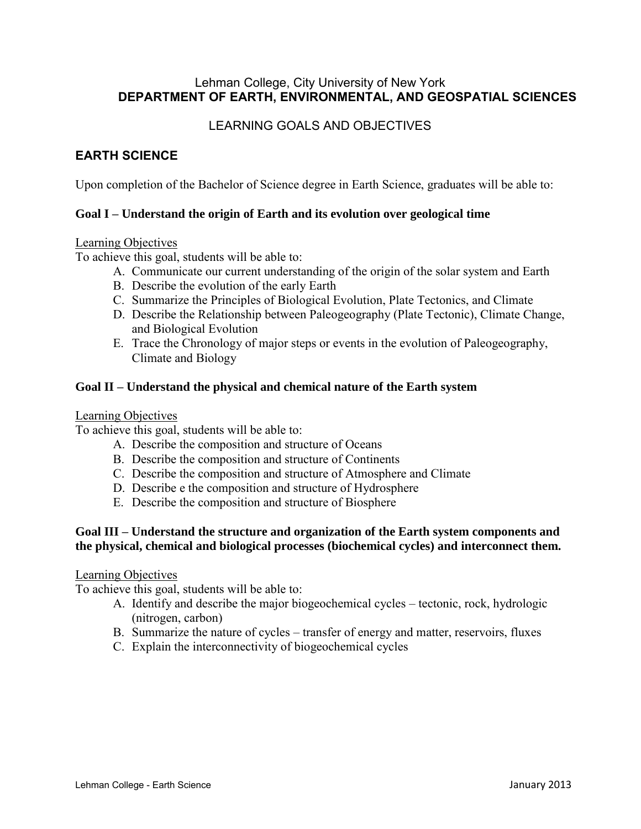# Lehman College, City University of New York **DEPARTMENT OF EARTH, ENVIRONMENTAL, AND GEOSPATIAL SCIENCES**

# LEARNING GOALS AND OBJECTIVES

# **EARTH SCIENCE**

Upon completion of the Bachelor of Science degree in Earth Science, graduates will be able to:

# **Goal I – Understand the origin of Earth and its evolution over geological time**

### Learning Objectives

To achieve this goal, students will be able to:

- A. Communicate our current understanding of the origin of the solar system and Earth
- B. Describe the evolution of the early Earth
- C. Summarize the Principles of Biological Evolution, Plate Tectonics, and Climate
- D. Describe the Relationship between Paleogeography (Plate Tectonic), Climate Change, and Biological Evolution
- E. Trace the Chronology of major steps or events in the evolution of Paleogeography, Climate and Biology

# **Goal II – Understand the physical and chemical nature of the Earth system**

#### Learning Objectives

To achieve this goal, students will be able to:

- A. Describe the composition and structure of Oceans
- B. Describe the composition and structure of Continents
- C. Describe the composition and structure of Atmosphere and Climate
- D. Describe e the composition and structure of Hydrosphere
- E. Describe the composition and structure of Biosphere

# **Goal III – Understand the structure and organization of the Earth system components and the physical, chemical and biological processes (biochemical cycles) and interconnect them.**

#### Learning Objectives

To achieve this goal, students will be able to:

- A. Identify and describe the major biogeochemical cycles tectonic, rock, hydrologic (nitrogen, carbon)
- B. Summarize the nature of cycles transfer of energy and matter, reservoirs, fluxes
- C. Explain the interconnectivity of biogeochemical cycles